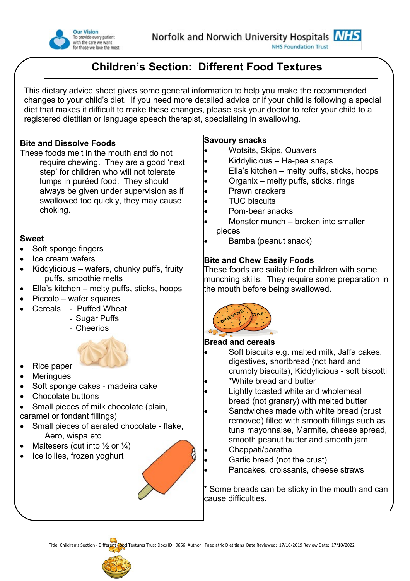

**NHS Foundation Trust** 

# **Children's Section: Different Food Textures**

This dietary advice sheet gives some general information to help you make the recommended changes to your child's diet. If you need more detailed advice or if your child is following a special diet that makes it difficult to make these changes, please ask your doctor to refer your child to a registered dietitian or language speech therapist, specialising in swallowing.

## **Bite and Dissolve Foods**

These foods melt in the mouth and do not require chewing. They are a good 'next step' for children who will not tolerate lumps in puréed food. They should always be given under supervision as if swallowed too quickly, they may cause choking.

## **Sweet**

- Soft sponge fingers
- Ice cream wafers
- Kiddylicious wafers, chunky puffs, fruity puffs, smoothie melts
- Ella's kitchen melty puffs, sticks, hoops
- $\bullet$  Piccolo wafer squares
- Cereals Puffed Wheat
	- Sugar Puffs
	- Cheerios



- Rice paper
- Meringues
- Soft sponge cakes madeira cake
- Chocolate buttons
- Small pieces of milk chocolate (plain, caramel or fondant fillings)
- Small pieces of aerated chocolate flake, Aero, wispa etc
- Maltesers (cut into  $\frac{1}{2}$  or  $\frac{1}{4}$ )
- Ice lollies, frozen yoghurt



# **Savoury snacks**

- Wotsits, Skips, Quavers
- Kiddylicious Ha-pea snaps
- Ella's kitchen melty puffs, sticks, hoops
- Organix melty puffs, sticks, rings
- Prawn crackers
- TUC biscuits
- Pom-bear snacks
- Monster munch broken into smaller pieces
- Bamba (peanut snack)

# **Bite and Chew Easily Foods**

These foods are suitable for children with some munching skills. They require some preparation in the mouth before being swallowed.



# **Bread and cereals**

- Soft biscuits e.g. malted milk, Jaffa cakes, digestives, shortbread (not hard and crumbly biscuits), Kiddylicious - soft biscotti
- \*White bread and butter
- Lightly toasted white and wholemeal bread (not granary) with melted butter
- Sandwiches made with white bread (crust removed) filled with smooth fillings such as tuna mayonnaise, Marmite, cheese spread, smooth peanut butter and smooth jam
	- Chappati/paratha
- Garlic bread (not the crust)
	- Pancakes, croissants, cheese straws

Some breads can be sticky in the mouth and can cause difficulties.